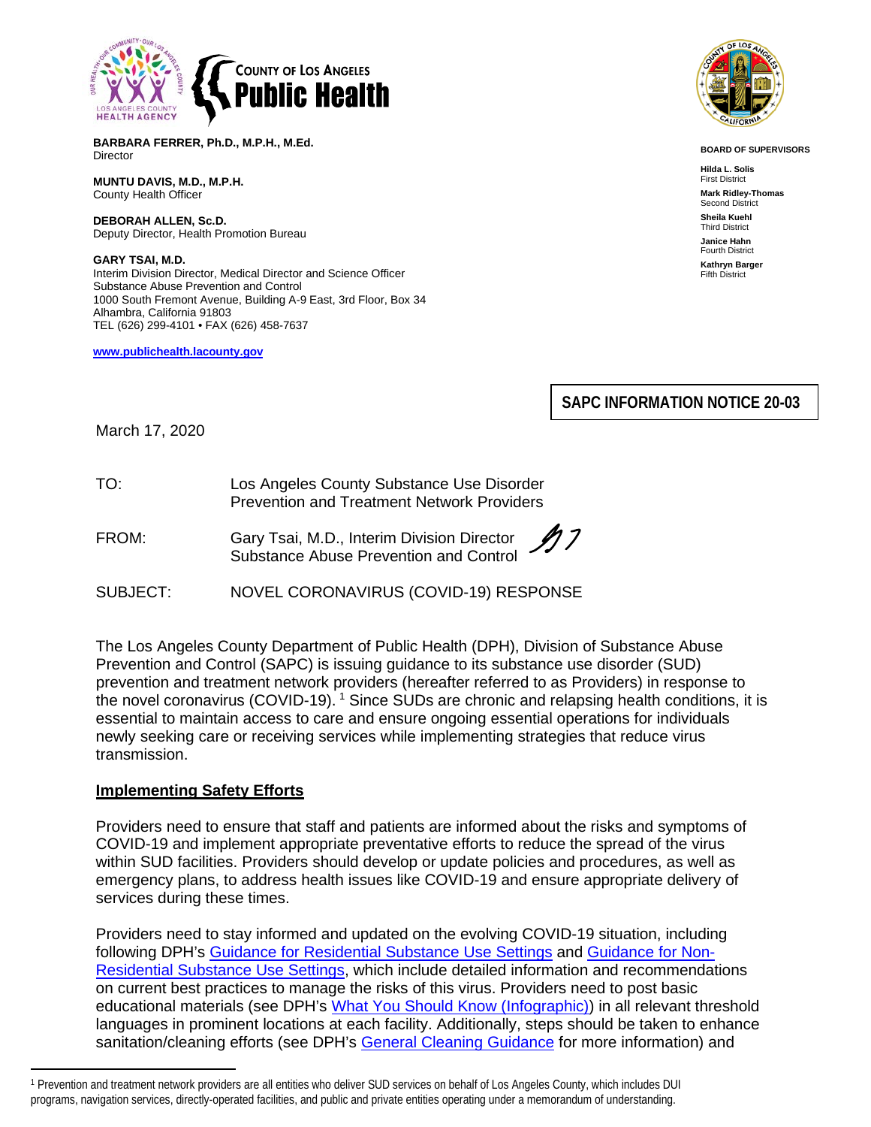

**BARBARA FERRER, Ph.D., M.P.H., M.Ed.** Director

**MUNTU DAVIS, M.D., M.P.H.** County Health Officer

**DEBORAH ALLEN, Sc.D.** Deputy Director, Health Promotion Bureau

**GARY TSAI, M.D.** Interim Division Director, Medical Director and Science Officer Substance Abuse Prevention and Control 1000 South Fremont Avenue, Building A-9 East, 3rd Floor, Box 34 Alhambra, California 91803 TEL (626) 299-4101 • FAX (626) 458-7637

**[www.publichealth.lacounty.gov](about:blank)**



**BOARD OF SUPERVISORS**

**Hilda L. Solis** First District **Mark Ridley-Thomas** Second District **Sheila Kuehl** Third District **Janice Hahn** Fourth District **Kathryn Barger** Fifth District

**SAPC INFORMATION NOTICE 20-03**

March 17, 2020

| TO: | Los Angeles County Substance Use Disorder         |
|-----|---------------------------------------------------|
|     | <b>Prevention and Treatment Network Providers</b> |

FROM: Gary Tsai, M.D., Interim Division Director Substance Abuse Prevention and Control

SUBJECT: NOVEL CORONAVIRUS (COVID-19) RESPONSE

The Los Angeles County Department of Public Health (DPH), Division of Substance Abuse Prevention and Control (SAPC) is issuing guidance to its substance use disorder (SUD) prevention and treatment network providers (hereafter referred to as Providers) in response to the novel coronavirus (COVID-[1](#page-0-0)9). <sup>1</sup> Since SUDs are chronic and relapsing health conditions, it is essential to maintain access to care and ensure ongoing essential operations for individuals newly seeking care or receiving services while implementing strategies that reduce virus transmission.

## **Implementing Safety Efforts**

Providers need to ensure that staff and patients are informed about the risks and symptoms of COVID-19 and implement appropriate preventative efforts to reduce the spread of the virus within SUD facilities. Providers should develop or update policies and procedures, as well as emergency plans, to address health issues like COVID-19 and ensure appropriate delivery of services during these times.

Providers need to stay informed and updated on the evolving COVID-19 situation, including following DPH's [Guidance for Residential Substance Use Settings](http://publichealth.lacounty.gov/media/Coronavirus/GuidanceResidentialSubstanceUse.pdf) and [Guidance for Non-](http://publichealth.lacounty.gov/media/Coronavirus/GuidanceNonResSubstanceUse.pdf)[Residential Substance Use Settings,](http://publichealth.lacounty.gov/media/Coronavirus/GuidanceNonResSubstanceUse.pdf) which include detailed information and recommendations on current best practices to manage the risks of this virus. Providers need to post basic educational materials (see DPH's [What You Should Know \(Infographic\)\)](http://publichealth.lacounty.gov/media/Coronavirus/CoronavirusInfographicEnglish.pdf) in all relevant threshold languages in prominent locations at each facility. Additionally, steps should be taken to enhance sanitation/cleaning efforts (see DPH's [General Cleaning Guidance](http://publichealth.lacounty.gov/media/Coronavirus/GuidanceCleaningEnglish.pdf) for more information) and

<span id="page-0-0"></span><sup>1</sup> Prevention and treatment network providers are all entities who deliver SUD services on behalf of Los Angeles County, which includes DUI programs, navigation services, directly-operated facilities, and public and private entities operating under a memorandum of understanding.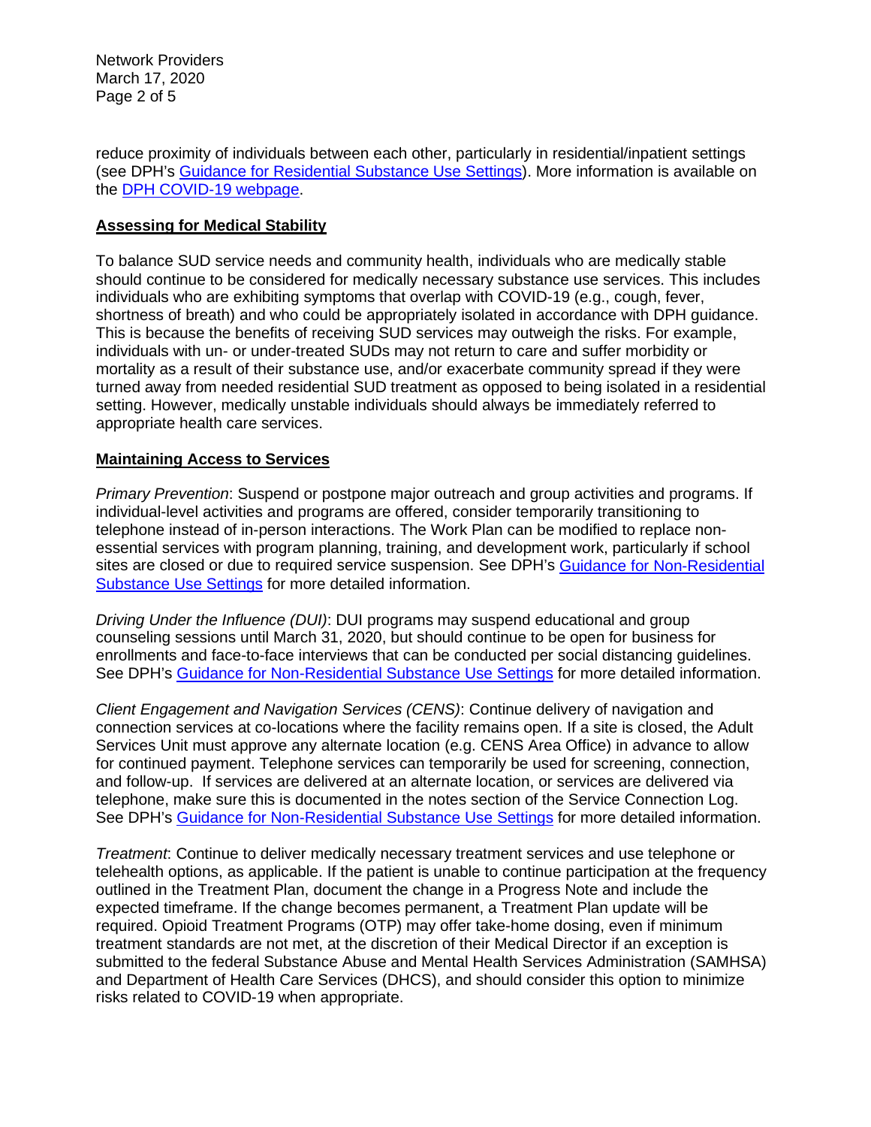Network Providers March 17, 2020 Page 2 of 5

reduce proximity of individuals between each other, particularly in residential/inpatient settings (see DPH's [Guidance for Residential Substance Use Settings\)](http://publichealth.lacounty.gov/media/Coronavirus/GuidanceResidentialSubstanceUse.pdf). More information is available on the [DPH COVID-19 webpage.](http://publichealth.lacounty.gov/media/Coronavirus/)

#### **Assessing for Medical Stability**

To balance SUD service needs and community health, individuals who are medically stable should continue to be considered for medically necessary substance use services. This includes individuals who are exhibiting symptoms that overlap with COVID-19 (e.g., cough, fever, shortness of breath) and who could be appropriately isolated in accordance with DPH guidance. This is because the benefits of receiving SUD services may outweigh the risks. For example, individuals with un- or under-treated SUDs may not return to care and suffer morbidity or mortality as a result of their substance use, and/or exacerbate community spread if they were turned away from needed residential SUD treatment as opposed to being isolated in a residential setting. However, medically unstable individuals should always be immediately referred to appropriate health care services.

#### **Maintaining Access to Services**

*Primary Prevention*: Suspend or postpone major outreach and group activities and programs. If individual-level activities and programs are offered, consider temporarily transitioning to telephone instead of in-person interactions. The Work Plan can be modified to replace nonessential services with program planning, training, and development work, particularly if school sites are closed or due to required service suspension. See DPH's [Guidance for Non-Residential](http://publichealth.lacounty.gov/media/Coronavirus/GuidanceNonResSubstanceUse.pdf)  [Substance Use Settings](http://publichealth.lacounty.gov/media/Coronavirus/GuidanceNonResSubstanceUse.pdf) for more detailed information.

*Driving Under the Influence (DUI)*: DUI programs may suspend educational and group counseling sessions until March 31, 2020, but should continue to be open for business for enrollments and face-to-face interviews that can be conducted per social distancing guidelines. See DPH's [Guidance for Non-Residential Substance Use Settings](http://publichealth.lacounty.gov/media/Coronavirus/GuidanceNonResSubstanceUse.pdf) for more detailed information.

*Client Engagement and Navigation Services (CENS)*: Continue delivery of navigation and connection services at co-locations where the facility remains open. If a site is closed, the Adult Services Unit must approve any alternate location (e.g. CENS Area Office) in advance to allow for continued payment. Telephone services can temporarily be used for screening, connection, and follow-up. If services are delivered at an alternate location, or services are delivered via telephone, make sure this is documented in the notes section of the Service Connection Log. See DPH's [Guidance for Non-Residential Substance Use Settings](http://publichealth.lacounty.gov/media/Coronavirus/GuidanceNonResSubstanceUse.pdf) for more detailed information.

*Treatment*: Continue to deliver medically necessary treatment services and use telephone or telehealth options, as applicable. If the patient is unable to continue participation at the frequency outlined in the Treatment Plan, document the change in a Progress Note and include the expected timeframe. If the change becomes permanent, a Treatment Plan update will be required. Opioid Treatment Programs (OTP) may offer take-home dosing, even if minimum treatment standards are not met, at the discretion of their Medical Director if an exception is submitted to the federal Substance Abuse and Mental Health Services Administration (SAMHSA) and Department of Health Care Services (DHCS), and should consider this option to minimize risks related to COVID-19 when appropriate.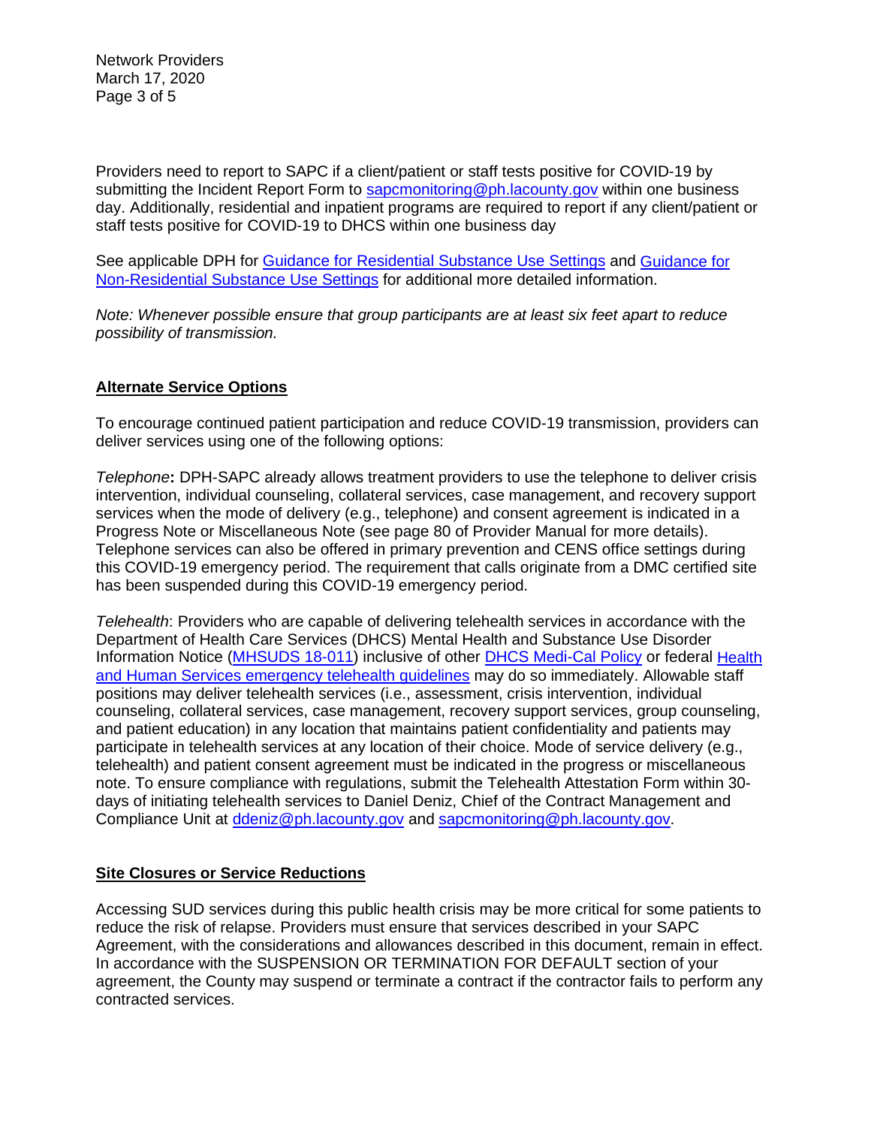Network Providers March 17, 2020 Page 3 of 5

Providers need to report to SAPC if a client/patient or staff tests positive for COVID-19 by submitting the Incident Report Form to **sapcmonitoring@ph.lacounty.gov** within one business day. Additionally, residential and inpatient programs are required to report if any client/patient or staff tests positive for COVID-19 to DHCS within one business day

See applicable DPH for [Guidance for Residential Substance Use Settings](http://publichealth.lacounty.gov/media/Coronavirus/GuidanceResidentialSubstanceUse.pdf) and [Guidance for](http://publichealth.lacounty.gov/media/Coronavirus/GuidanceNonResSubstanceUse.pdf)  [Non-Residential Substance Use Settings](http://publichealth.lacounty.gov/media/Coronavirus/GuidanceNonResSubstanceUse.pdf) for additional more detailed information.

*Note: Whenever possible ensure that group participants are at least six feet apart to reduce possibility of transmission.*

## **Alternate Service Options**

To encourage continued patient participation and reduce COVID-19 transmission, providers can deliver services using one of the following options:

*Telephone***:** DPH-SAPC already allows treatment providers to use the telephone to deliver crisis intervention, individual counseling, collateral services, case management, and recovery support services when the mode of delivery (e.g., telephone) and consent agreement is indicated in a Progress Note or Miscellaneous Note (see page 80 of Provider Manual for more details). Telephone services can also be offered in primary prevention and CENS office settings during this COVID-19 emergency period. The requirement that calls originate from a DMC certified site has been suspended during this COVID-19 emergency period.

*Telehealth*: Providers who are capable of delivering telehealth services in accordance with the Department of Health Care Services (DHCS) Mental Health and Substance Use Disorder Information Notice [\(MHSUDS 18-011\)](https://www.dhcs.ca.gov/services/MH/Documents/Information%20Notices/IN%2018-%20Network%20Adequacy/MHSUDS_IN_18-011_Network_Adequacy.pdf) inclusive of other DHCS [Medi-Cal Policy](https://www.dhcs.ca.gov/provgovpart/Pages/Telehealth.aspx) or federal Health [and Human Services emergency telehealth guidelines](https://www.hhs.gov/hipaa/for-professionals/special-topics/emergency-preparedness/notification-enforcement-discretion-telehealth/index.html) may do so immediately. Allowable staff positions may deliver telehealth services (i.e., assessment, crisis intervention, individual counseling, collateral services, case management, recovery support services, group counseling, and patient education) in any location that maintains patient confidentiality and patients may participate in telehealth services at any location of their choice. Mode of service delivery (e.g., telehealth) and patient consent agreement must be indicated in the progress or miscellaneous note. To ensure compliance with regulations, submit the Telehealth Attestation Form within 30 days of initiating telehealth services to Daniel Deniz, Chief of the Contract Management and Compliance Unit at [ddeniz@ph.lacounty.gov](mailto:ddeniz@ph.lacounty.gov) and [sapcmonitoring@ph.lacounty.gov.](mailto:sapcmonitoring@ph.lacounty.gov)

## **Site Closures or Service Reductions**

Accessing SUD services during this public health crisis may be more critical for some patients to reduce the risk of relapse. Providers must ensure that services described in your SAPC Agreement, with the considerations and allowances described in this document, remain in effect. In accordance with the SUSPENSION OR TERMINATION FOR DEFAULT section of your agreement, the County may suspend or terminate a contract if the contractor fails to perform any contracted services.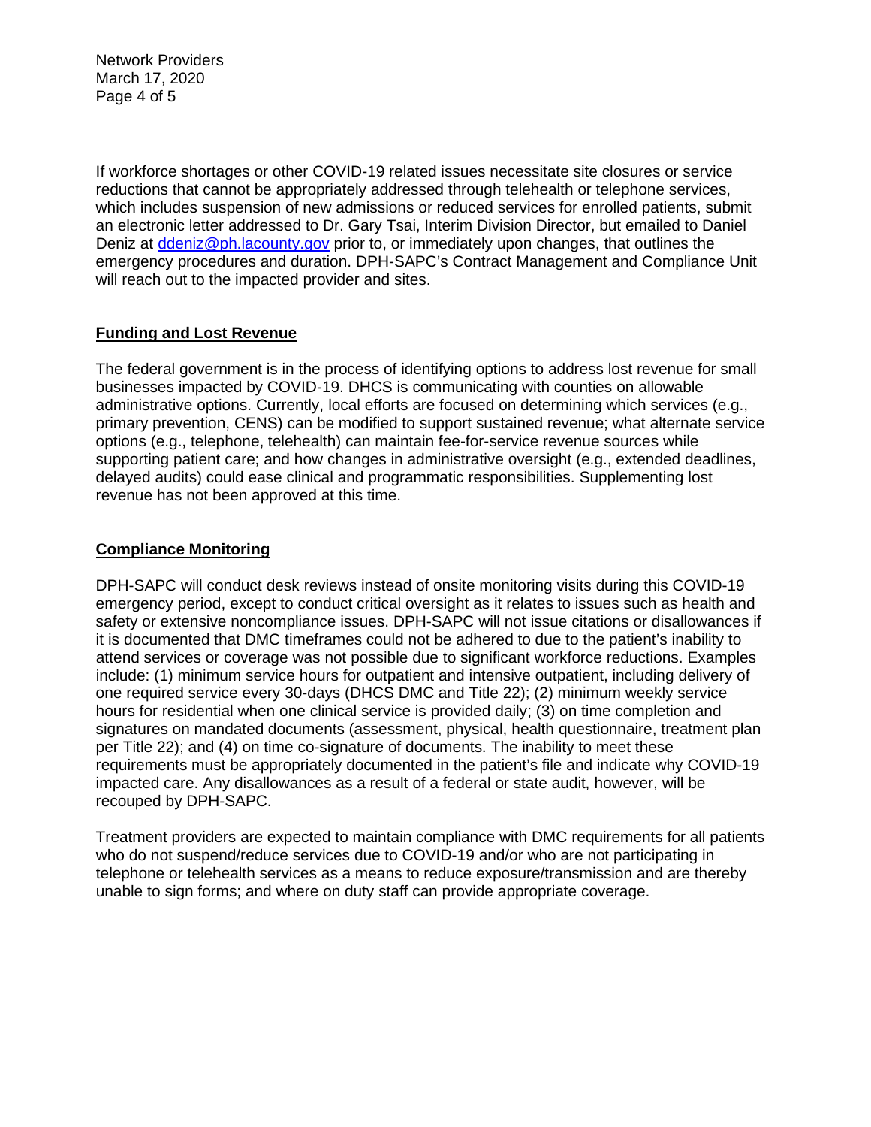Network Providers March 17, 2020 Page 4 of 5

If workforce shortages or other COVID-19 related issues necessitate site closures or service reductions that cannot be appropriately addressed through telehealth or telephone services, which includes suspension of new admissions or reduced services for enrolled patients, submit an electronic letter addressed to Dr. Gary Tsai, Interim Division Director, but emailed to Daniel Deniz at [ddeniz@ph.lacounty.gov](mailto:ddeniz@ph.lacounty.gov) prior to, or immediately upon changes, that outlines the emergency procedures and duration. DPH-SAPC's Contract Management and Compliance Unit will reach out to the impacted provider and sites.

# **Funding and Lost Revenue**

The federal government is in the process of identifying options to address lost revenue for small businesses impacted by COVID-19. DHCS is communicating with counties on allowable administrative options. Currently, local efforts are focused on determining which services (e.g., primary prevention, CENS) can be modified to support sustained revenue; what alternate service options (e.g., telephone, telehealth) can maintain fee-for-service revenue sources while supporting patient care; and how changes in administrative oversight (e.g., extended deadlines, delayed audits) could ease clinical and programmatic responsibilities. Supplementing lost revenue has not been approved at this time.

## **Compliance Monitoring**

DPH-SAPC will conduct desk reviews instead of onsite monitoring visits during this COVID-19 emergency period, except to conduct critical oversight as it relates to issues such as health and safety or extensive noncompliance issues. DPH-SAPC will not issue citations or disallowances if it is documented that DMC timeframes could not be adhered to due to the patient's inability to attend services or coverage was not possible due to significant workforce reductions. Examples include: (1) minimum service hours for outpatient and intensive outpatient, including delivery of one required service every 30-days (DHCS DMC and Title 22); (2) minimum weekly service hours for residential when one clinical service is provided daily; (3) on time completion and signatures on mandated documents (assessment, physical, health questionnaire, treatment plan per Title 22); and (4) on time co-signature of documents. The inability to meet these requirements must be appropriately documented in the patient's file and indicate why COVID-19 impacted care. Any disallowances as a result of a federal or state audit, however, will be recouped by DPH-SAPC.

Treatment providers are expected to maintain compliance with DMC requirements for all patients who do not suspend/reduce services due to COVID-19 and/or who are not participating in telephone or telehealth services as a means to reduce exposure/transmission and are thereby unable to sign forms; and where on duty staff can provide appropriate coverage.